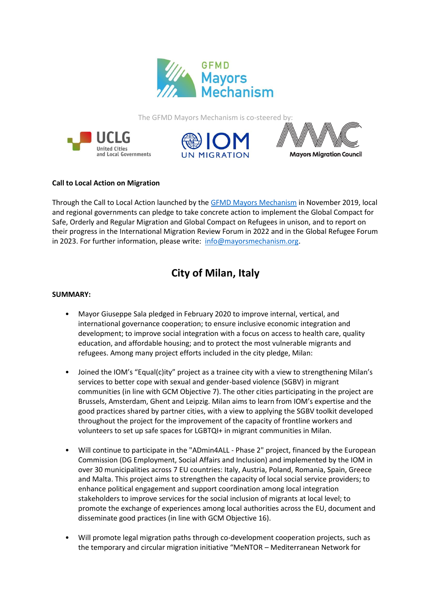

The GFMD Mayors Mechanism is co-steered by:







# **Call to Local Action on Migration**

Through the Call to Local Action launched by the [GFMD Mayors Mechanism](http://www.mayorsmechanism.org/) in November 2019, local and regional governments can pledge to take concrete action to implement the Global Compact for Safe, Orderly and Regular Migration and Global Compact on Refugees in unison, and to report on their progress in the International Migration Review Forum in 2022 and in the Global Refugee Forum in 2023. For further information, please write: [info@mayorsmechanism.org.](mailto:info@mayorsmechanism.org)

# **City of Milan, Italy**

## **SUMMARY:**

- Mayor Giuseppe Sala pledged in February 2020 to improve internal, vertical, and international governance cooperation; to ensure inclusive economic integration and development; to improve social integration with a focus on access to health care, quality education, and affordable housing; and to protect the most vulnerable migrants and refugees. Among many project efforts included in the city pledge, Milan:
- Joined the IOM's "Equal(c)ity" project as a trainee city with a view to strengthening Milan's services to better cope with sexual and gender-based violence (SGBV) in migrant communities (in line with GCM Objective 7). The other cities participating in the project are Brussels, Amsterdam, Ghent and Leipzig. Milan aims to learn from IOM's expertise and the good practices shared by partner cities, with a view to applying the SGBV toolkit developed throughout the project for the improvement of the capacity of frontline workers and volunteers to set up safe spaces for LGBTQI+ in migrant communities in Milan.
- Will continue to participate in the "ADmin4ALL Phase 2" project, financed by the European Commission (DG Employment, Social Affairs and Inclusion) and implemented by the IOM in over 30 municipalities across 7 EU countries: Italy, Austria, Poland, Romania, Spain, Greece and Malta. This project aims to strengthen the capacity of local social service providers; to enhance political engagement and support coordination among local integration stakeholders to improve services for the social inclusion of migrants at local level; to promote the exchange of experiences among local authorities across the EU, document and disseminate good practices (in line with GCM Objective 16).
- Will promote legal migration paths through co-development cooperation projects, such as the temporary and circular migration initiative "MeNTOR – Mediterranean Network for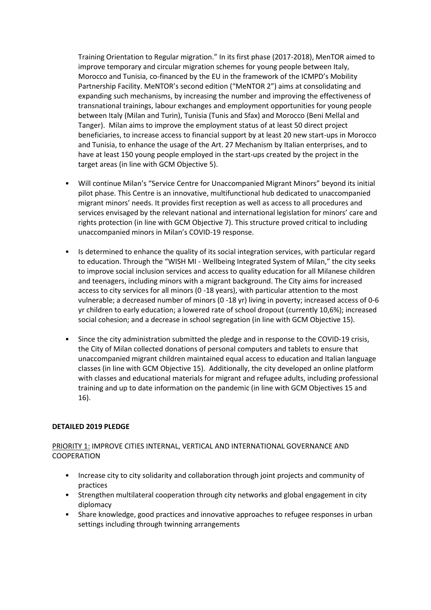Training Orientation to Regular migration." In its first phase (2017-2018), MenTOR aimed to improve temporary and circular migration schemes for young people between Italy, Morocco and Tunisia, co-financed by the EU in the framework of the ICMPD's Mobility Partnership Facility. MeNTOR's second edition ("MeNTOR 2") aims at consolidating and expanding such mechanisms, by increasing the number and improving the effectiveness of transnational trainings, labour exchanges and employment opportunities for young people between Italy (Milan and Turin), Tunisia (Tunis and Sfax) and Morocco (Beni Mellal and Tanger). Milan aims to improve the employment status of at least 50 direct project beneficiaries, to increase access to financial support by at least 20 new start-ups in Morocco and Tunisia, to enhance the usage of the Art. 27 Mechanism by Italian enterprises, and to have at least 150 young people employed in the start-ups created by the project in the target areas (in line with GCM Objective 5).

- Will continue Milan's "Service Centre for Unaccompanied Migrant Minors" beyond its initial pilot phase. This Centre is an innovative, multifunctional hub dedicated to unaccompanied migrant minors' needs. It provides first reception as well as access to all procedures and services envisaged by the relevant national and international legislation for minors' care and rights protection (in line with GCM Objective 7). This structure proved critical to including unaccompanied minors in Milan's COVID-19 response.
- Is determined to enhance the quality of its social integration services, with particular regard to education. Through the "WISH MI - Wellbeing Integrated System of Milan," the city seeks to improve social inclusion services and access to quality education for all Milanese children and teenagers, including minors with a migrant background. The City aims for increased access to city services for all minors (0 -18 years), with particular attention to the most vulnerable; a decreased number of minors (0 -18 yr) living in poverty; increased access of 0-6 yr children to early education; a lowered rate of school dropout (currently 10,6%); increased social cohesion; and a decrease in school segregation (in line with GCM Objective 15).
- Since the city administration submitted the pledge and in response to the COVID-19 crisis, the City of Milan collected donations of personal computers and tablets to ensure that unaccompanied migrant children maintained equal access to education and Italian language classes (in line with GCM Objective 15). Additionally, the city developed an online platform with classes and educational materials for migrant and refugee adults, including professional training and up to date information on the pandemic (in line with GCM Objectives 15 and 16).

# **DETAILED 2019 PLEDGE**

# PRIORITY 1: IMPROVE CITIES INTERNAL, VERTICAL AND INTERNATIONAL GOVERNANCE AND COOPERATION

- Increase city to city solidarity and collaboration through joint projects and community of practices
- Strengthen multilateral cooperation through city networks and global engagement in city diplomacy
- Share knowledge, good practices and innovative approaches to refugee responses in urban settings including through twinning arrangements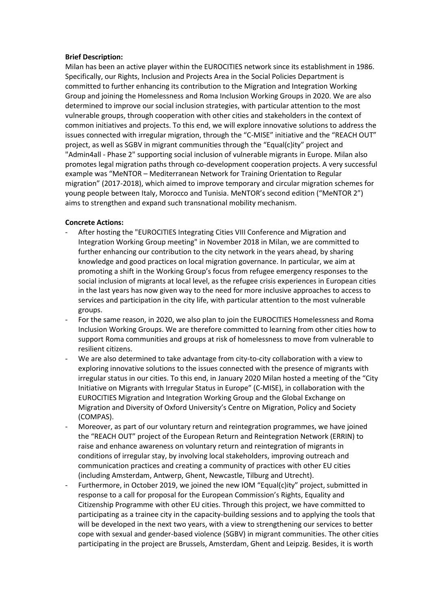#### **Brief Description:**

Milan has been an active player within the EUROCITIES network since its establishment in 1986. Specifically, our Rights, Inclusion and Projects Area in the Social Policies Department is committed to further enhancing its contribution to the Migration and Integration Working Group and joining the Homelessness and Roma Inclusion Working Groups in 2020. We are also determined to improve our social inclusion strategies, with particular attention to the most vulnerable groups, through cooperation with other cities and stakeholders in the context of common initiatives and projects. To this end, we will explore innovative solutions to address the issues connected with irregular migration, through the "C-MISE" initiative and the "REACH OUT" project, as well as SGBV in migrant communities through the "Equal(c)ity" project and "Admin4all - Phase 2" supporting social inclusion of vulnerable migrants in Europe. Milan also promotes legal migration paths through co-development cooperation projects. A very successful example was "MeNTOR – Mediterranean Network for Training Orientation to Regular migration" (2017-2018), which aimed to improve temporary and circular migration schemes for young people between Italy, Morocco and Tunisia. MeNTOR's second edition ("MeNTOR 2") aims to strengthen and expand such transnational mobility mechanism.

#### **Concrete Actions:**

- After hosting the "EUROCITIES Integrating Cities VIII Conference and Migration and Integration Working Group meeting" in November 2018 in Milan, we are committed to further enhancing our contribution to the city network in the years ahead, by sharing knowledge and good practices on local migration governance. In particular, we aim at promoting a shift in the Working Group's focus from refugee emergency responses to the social inclusion of migrants at local level, as the refugee crisis experiences in European cities in the last years has now given way to the need for more inclusive approaches to access to services and participation in the city life, with particular attention to the most vulnerable groups.
- For the same reason, in 2020, we also plan to join the EUROCITIES Homelessness and Roma Inclusion Working Groups. We are therefore committed to learning from other cities how to support Roma communities and groups at risk of homelessness to move from vulnerable to resilient citizens.
- We are also determined to take advantage from city-to-city collaboration with a view to exploring innovative solutions to the issues connected with the presence of migrants with irregular status in our cities. To this end, in January 2020 Milan hosted a meeting of the "City Initiative on Migrants with Irregular Status in Europe" (C-MISE), in collaboration with the EUROCITIES Migration and Integration Working Group and the Global Exchange on Migration and Diversity of Oxford University's Centre on Migration, Policy and Society (COMPAS).
- Moreover, as part of our voluntary return and reintegration programmes, we have joined the "REACH OUT" project of the European Return and Reintegration Network (ERRIN) to raise and enhance awareness on voluntary return and reintegration of migrants in conditions of irregular stay, by involving local stakeholders, improving outreach and communication practices and creating a community of practices with other EU cities (including Amsterdam, Antwerp, Ghent, Newcastle, Tilburg and Utrecht).
- Furthermore, in October 2019, we joined the new IOM "Equal(c)ity" project, submitted in response to a call for proposal for the European Commission's Rights, Equality and Citizenship Programme with other EU cities. Through this project, we have committed to participating as a trainee city in the capacity-building sessions and to applying the tools that will be developed in the next two years, with a view to strengthening our services to better cope with sexual and gender-based violence (SGBV) in migrant communities. The other cities participating in the project are Brussels, Amsterdam, Ghent and Leipzig. Besides, it is worth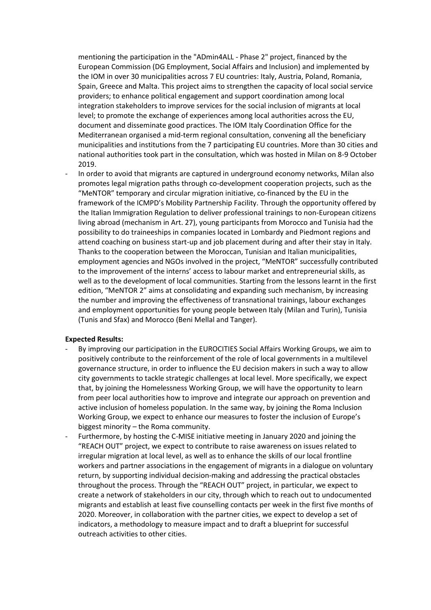mentioning the participation in the "ADmin4ALL - Phase 2" project, financed by the European Commission (DG Employment, Social Affairs and Inclusion) and implemented by the IOM in over 30 municipalities across 7 EU countries: Italy, Austria, Poland, Romania, Spain, Greece and Malta. This project aims to strengthen the capacity of local social service providers; to enhance political engagement and support coordination among local integration stakeholders to improve services for the social inclusion of migrants at local level; to promote the exchange of experiences among local authorities across the EU, document and disseminate good practices. The IOM Italy Coordination Office for the Mediterranean organised a mid-term regional consultation, convening all the beneficiary municipalities and institutions from the 7 participating EU countries. More than 30 cities and national authorities took part in the consultation, which was hosted in Milan on 8-9 October 2019.

In order to avoid that migrants are captured in underground economy networks, Milan also promotes legal migration paths through co-development cooperation projects, such as the "MeNTOR" temporary and circular migration initiative, co-financed by the EU in the framework of the ICMPD's Mobility Partnership Facility. Through the opportunity offered by the Italian Immigration Regulation to deliver professional trainings to non-European citizens living abroad (mechanism in Art. 27), young participants from Morocco and Tunisia had the possibility to do traineeships in companies located in Lombardy and Piedmont regions and attend coaching on business start-up and job placement during and after their stay in Italy. Thanks to the cooperation between the Moroccan, Tunisian and Italian municipalities, employment agencies and NGOs involved in the project, "MeNTOR" successfully contributed to the improvement of the interns' access to labour market and entrepreneurial skills, as well as to the development of local communities. Starting from the lessons learnt in the first edition, "MeNTOR 2" aims at consolidating and expanding such mechanism, by increasing the number and improving the effectiveness of transnational trainings, labour exchanges and employment opportunities for young people between Italy (Milan and Turin), Tunisia (Tunis and Sfax) and Morocco (Beni Mellal and Tanger).

#### **Expected Results:**

- By improving our participation in the EUROCITIES Social Affairs Working Groups, we aim to positively contribute to the reinforcement of the role of local governments in a multilevel governance structure, in order to influence the EU decision makers in such a way to allow city governments to tackle strategic challenges at local level. More specifically, we expect that, by joining the Homelessness Working Group, we will have the opportunity to learn from peer local authorities how to improve and integrate our approach on prevention and active inclusion of homeless population. In the same way, by joining the Roma Inclusion Working Group, we expect to enhance our measures to foster the inclusion of Europe's biggest minority – the Roma community.
- Furthermore, by hosting the C-MISE initiative meeting in January 2020 and joining the "REACH OUT" project, we expect to contribute to raise awareness on issues related to irregular migration at local level, as well as to enhance the skills of our local frontline workers and partner associations in the engagement of migrants in a dialogue on voluntary return, by supporting individual decision-making and addressing the practical obstacles throughout the process. Through the "REACH OUT" project, in particular, we expect to create a network of stakeholders in our city, through which to reach out to undocumented migrants and establish at least five counselling contacts per week in the first five months of 2020. Moreover, in collaboration with the partner cities, we expect to develop a set of indicators, a methodology to measure impact and to draft a blueprint for successful outreach activities to other cities.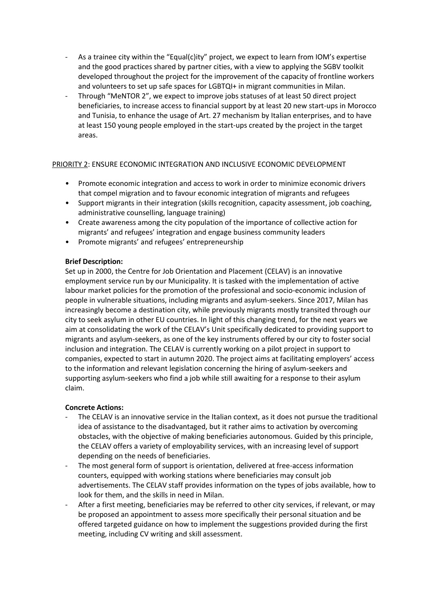- As a trainee city within the "Equal(c)ity" project, we expect to learn from IOM's expertise and the good practices shared by partner cities, with a view to applying the SGBV toolkit developed throughout the project for the improvement of the capacity of frontline workers and volunteers to set up safe spaces for LGBTQI+ in migrant communities in Milan.
- Through "MeNTOR 2", we expect to improve jobs statuses of at least 50 direct project beneficiaries, to increase access to financial support by at least 20 new start-ups in Morocco and Tunisia, to enhance the usage of Art. 27 mechanism by Italian enterprises, and to have at least 150 young people employed in the start-ups created by the project in the target areas.

# PRIORITY 2: ENSURE ECONOMIC INTEGRATION AND INCLUSIVE ECONOMIC DEVELOPMENT

- Promote economic integration and access to work in order to minimize economic drivers that compel migration and to favour economic integration of migrants and refugees
- Support migrants in their integration (skills recognition, capacity assessment, job coaching, administrative counselling, language training)
- Create awareness among the city population of the importance of collective action for migrants' and refugees' integration and engage business community leaders
- Promote migrants' and refugees' entrepreneurship

#### **Brief Description:**

Set up in 2000, the Centre for Job Orientation and Placement (CELAV) is an innovative employment service run by our Municipality. It is tasked with the implementation of active labour market policies for the promotion of the professional and socio-economic inclusion of people in vulnerable situations, including migrants and asylum-seekers. Since 2017, Milan has increasingly become a destination city, while previously migrants mostly transited through our city to seek asylum in other EU countries. In light of this changing trend, for the next years we aim at consolidating the work of the CELAV's Unit specifically dedicated to providing support to migrants and asylum-seekers, as one of the key instruments offered by our city to foster social inclusion and integration. The CELAV is currently working on a pilot project in support to companies, expected to start in autumn 2020. The project aims at facilitating employers' access to the information and relevant legislation concerning the hiring of asylum-seekers and supporting asylum-seekers who find a job while still awaiting for a response to their asylum claim.

#### **Concrete Actions:**

- The CELAV is an innovative service in the Italian context, as it does not pursue the traditional idea of assistance to the disadvantaged, but it rather aims to activation by overcoming obstacles, with the objective of making beneficiaries autonomous. Guided by this principle, the CELAV offers a variety of employability services, with an increasing level of support depending on the needs of beneficiaries.
- The most general form of support is orientation, delivered at free-access information counters, equipped with working stations where beneficiaries may consult job advertisements. The CELAV staff provides information on the types of jobs available, how to look for them, and the skills in need in Milan.
- After a first meeting, beneficiaries may be referred to other city services, if relevant, or may be proposed an appointment to assess more specifically their personal situation and be offered targeted guidance on how to implement the suggestions provided during the first meeting, including CV writing and skill assessment.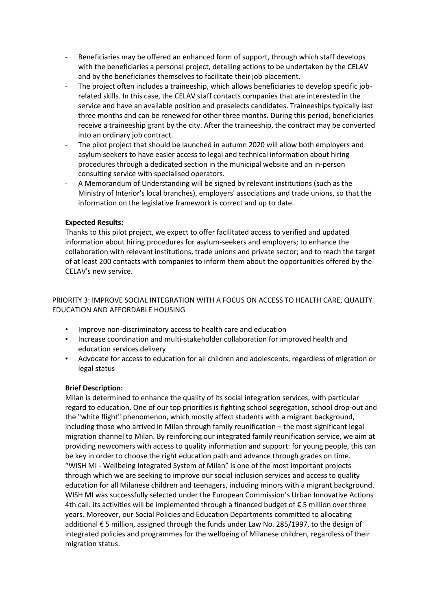- Beneficiaries may be offered an enhanced form of support, through which staff develops with the beneficiaries a personal project, detailing actions to be undertaken by the CELAV and by the beneficiaries themselves to facilitate their job placement.
- The project often includes a traineeship, which allows beneficiaries to develop specific jobrelated skills. In this case, the CELAV staff contacts companies that are interested in the service and have an available position and preselects candidates. Traineeships typically last three months and can be renewed for other three months. During this period, beneficiaries receive a traineeship grant by the city. After the traineeship, the contract may be converted into an ordinary job contract.
- The pilot project that should be launched in autumn 2020 will allow both employers and asylum seekers to have easier access to legal and technical information about hiring procedures through a dedicated section in the municipal website and an in-person consulting service with specialised operators.
- A Memorandum of Understanding will be signed by relevant institutions (such as the Ministry of Interior's local branches), employers' associations and trade unions, so that the information on the legislative framework is correct and up to date.

## **Expected Results:**

Thanks to this pilot project, we expect to offer facilitated access to verified and updated information about hiring procedures for asylum-seekers and employers; to enhance the collaboration with relevant institutions, trade unions and private sector; and to reach the target of at least 200 contacts with companies to inform them about the opportunities offered by the CELAV's new service.

# PRIORITY 3: IMPROVE SOCIAL INTEGRATION WITH A FOCUS ON ACCESS TO HEALTH CARE, QUALITY EDUCATION AND AFFORDABLE HOUSING

- Improve non-discriminatory access to health care and education
- Increase coordination and multi-stakeholder collaboration for improved health and education services delivery
- Advocate for access to education for all children and adolescents, regardless of migration or legal status

# **Brief Description:**

Milan is determined to enhance the quality of its social integration services, with particular regard to education. One of our top priorities is fighting school segregation, school drop-out and the "white flight" phenomenon, which mostly affect students with a migrant background, including those who arrived in Milan through family reunification – the most significant legal migration channel to Milan. By reinforcing our integrated family reunification service, we aim at providing newcomers with access to quality information and support: for young people, this can be key in order to choose the right education path and advance through grades on time. "WISH MI - Wellbeing Integrated System of Milan" is one of the most important projects through which we are seeking to improve our social inclusion services and access to quality education for all Milanese children and teenagers, including minors with a migrant background. WISH MI was successfully selected under the European Commission's Urban Innovative Actions 4th call: its activities will be implemented through a financed budget of € 5 million over three years. Moreover, our Social Policies and Education Departments committed to allocating additional € 5 million, assigned through the funds under Law No. 285/1997, to the design of integrated policies and programmes for the wellbeing of Milanese children, regardless of their migration status.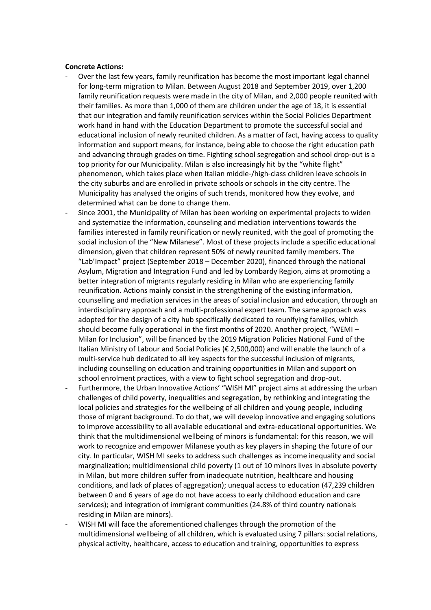#### **Concrete Actions:**

- Over the last few years, family reunification has become the most important legal channel for long-term migration to Milan. Between August 2018 and September 2019, over 1,200 family reunification requests were made in the city of Milan, and 2,000 people reunited with their families. As more than 1,000 of them are children under the age of 18, it is essential that our integration and family reunification services within the Social Policies Department work hand in hand with the Education Department to promote the successful social and educational inclusion of newly reunited children. As a matter of fact, having access to quality information and support means, for instance, being able to choose the right education path and advancing through grades on time. Fighting school segregation and school drop-out is a top priority for our Municipality. Milan is also increasingly hit by the "white flight" phenomenon, which takes place when Italian middle-/high-class children leave schools in the city suburbs and are enrolled in private schools or schools in the city centre. The Municipality has analysed the origins of such trends, monitored how they evolve, and determined what can be done to change them.
- Since 2001, the Municipality of Milan has been working on experimental projects to widen and systematize the information, counseling and mediation interventions towards the families interested in family reunification or newly reunited, with the goal of promoting the social inclusion of the "New Milanese". Most of these projects include a specific educational dimension, given that children represent 50% of newly reunited family members. The "Lab'Impact" project (September 2018 – December 2020), financed through the national Asylum, Migration and Integration Fund and led by Lombardy Region, aims at promoting a better integration of migrants regularly residing in Milan who are experiencing family reunification. Actions mainly consist in the strengthening of the existing information, counselling and mediation services in the areas of social inclusion and education, through an interdisciplinary approach and a multi-professional expert team. The same approach was adopted for the design of a city hub specifically dedicated to reunifying families, which should become fully operational in the first months of 2020. Another project, "WEMI – Milan for Inclusion", will be financed by the 2019 Migration Policies National Fund of the Italian Ministry of Labour and Social Policies (€ 2,500,000) and will enable the launch of a multi-service hub dedicated to all key aspects for the successful inclusion of migrants, including counselling on education and training opportunities in Milan and support on school enrolment practices, with a view to fight school segregation and drop-out.
- Furthermore, the Urban Innovative Actions' "WISH MI" project aims at addressing the urban challenges of child poverty, inequalities and segregation, by rethinking and integrating the local policies and strategies for the wellbeing of all children and young people, including those of migrant background. To do that, we will develop innovative and engaging solutions to improve accessibility to all available educational and extra-educational opportunities. We think that the multidimensional wellbeing of minors is fundamental: for this reason, we will work to recognize and empower Milanese youth as key players in shaping the future of our city. In particular, WISH MI seeks to address such challenges as income inequality and social marginalization; multidimensional child poverty (1 out of 10 minors lives in absolute poverty in Milan, but more children suffer from inadequate nutrition, healthcare and housing conditions, and lack of places of aggregation); unequal access to education (47,239 children between 0 and 6 years of age do not have access to early childhood education and care services); and integration of immigrant communities (24.8% of third country nationals residing in Milan are minors).
- WISH MI will face the aforementioned challenges through the promotion of the multidimensional wellbeing of all children, which is evaluated using 7 pillars: social relations, physical activity, healthcare, access to education and training, opportunities to express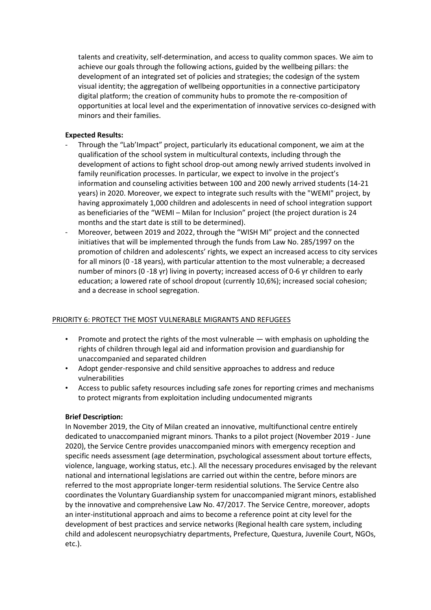talents and creativity, self-determination, and access to quality common spaces. We aim to achieve our goals through the following actions, guided by the wellbeing pillars: the development of an integrated set of policies and strategies; the codesign of the system visual identity; the aggregation of wellbeing opportunities in a connective participatory digital platform; the creation of community hubs to promote the re-composition of opportunities at local level and the experimentation of innovative services co-designed with minors and their families.

## **Expected Results:**

- Through the "Lab'Impact" project, particularly its educational component, we aim at the qualification of the school system in multicultural contexts, including through the development of actions to fight school drop-out among newly arrived students involved in family reunification processes. In particular, we expect to involve in the project's information and counseling activities between 100 and 200 newly arrived students (14-21 years) in 2020. Moreover, we expect to integrate such results with the "WEMI" project, by having approximately 1,000 children and adolescents in need of school integration support as beneficiaries of the "WEMI – Milan for Inclusion" project (the project duration is 24 months and the start date is still to be determined).
- Moreover, between 2019 and 2022, through the "WISH MI" project and the connected initiatives that will be implemented through the funds from Law No. 285/1997 on the promotion of children and adolescents' rights, we expect an increased access to city services for all minors (0 -18 years), with particular attention to the most vulnerable; a decreased number of minors (0 -18 yr) living in poverty; increased access of 0-6 yr children to early education; a lowered rate of school dropout (currently 10,6%); increased social cohesion; and a decrease in school segregation.

# PRIORITY 6: PROTECT THE MOST VULNERABLE MIGRANTS AND REFUGEES

- Promote and protect the rights of the most vulnerable with emphasis on upholding the rights of children through legal aid and information provision and guardianship for unaccompanied and separated children
- Adopt gender-responsive and child sensitive approaches to address and reduce vulnerabilities
- Access to public safety resources including safe zones for reporting crimes and mechanisms to protect migrants from exploitation including undocumented migrants

# **Brief Description:**

In November 2019, the City of Milan created an innovative, multifunctional centre entirely dedicated to unaccompanied migrant minors. Thanks to a pilot project (November 2019 - June 2020), the Service Centre provides unaccompanied minors with emergency reception and specific needs assessment (age determination, psychological assessment about torture effects, violence, language, working status, etc.). All the necessary procedures envisaged by the relevant national and international legislations are carried out within the centre, before minors are referred to the most appropriate longer-term residential solutions. The Service Centre also coordinates the Voluntary Guardianship system for unaccompanied migrant minors, established by the innovative and comprehensive Law No. 47/2017. The Service Centre, moreover, adopts an inter-institutional approach and aims to become a reference point at city level for the development of best practices and service networks (Regional health care system, including child and adolescent neuropsychiatry departments, Prefecture, Questura, Juvenile Court, NGOs, etc.).